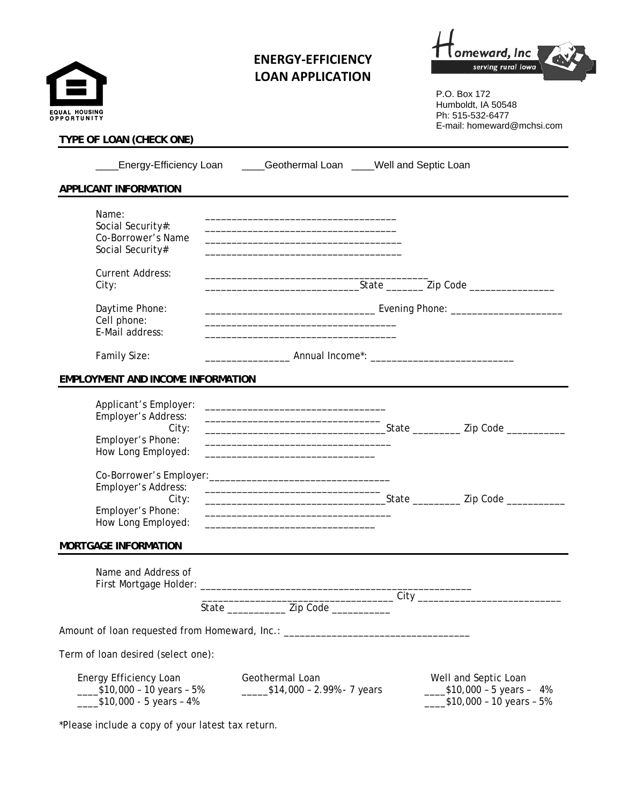| EQUAL HOUSING<br>OPPORTUNITY                                                     | <b>ENERGY-EFFICIENCY</b><br><b>LOAN APPLICATION</b>                                                                                                                                    | serving rural lowa<br>P.O. Box 172<br>Humboldt, IA 50548<br>Ph: 515-532-6477 |
|----------------------------------------------------------------------------------|----------------------------------------------------------------------------------------------------------------------------------------------------------------------------------------|------------------------------------------------------------------------------|
| TYPE OF LOAN (CHECK ONE)                                                         |                                                                                                                                                                                        | E-mail: homeward@mchsi.com                                                   |
|                                                                                  | Energy-Efficiency Loan ____Geothermal Loan ____Well and Septic Loan                                                                                                                    |                                                                              |
| APPLICANT INFORMATION                                                            |                                                                                                                                                                                        |                                                                              |
| Name:<br>Social Security#:<br>Co-Borrower's Name<br>Social Security#             | the control of the control of the control of the control of the control of the control of the                                                                                          |                                                                              |
| <b>Current Address:</b><br>City:                                                 |                                                                                                                                                                                        |                                                                              |
| Daytime Phone:<br>Cell phone:<br>E-Mail address:                                 |                                                                                                                                                                                        |                                                                              |
| Family Size:                                                                     |                                                                                                                                                                                        |                                                                              |
| <b>EMPLOYMENT AND INCOME INFORMATION</b>                                         |                                                                                                                                                                                        |                                                                              |
| Applicant's Employer:<br>Employer's Address:<br>City:<br>Employer's Phone:       | <u> 1989 - Johann Stoff, amerikansk politiker (d. 1989)</u><br>the control of the control of the control of the control of the control of the control of                               |                                                                              |
| How Long Employed:                                                               |                                                                                                                                                                                        |                                                                              |
| Co-Borrower's Employer:<br>Employer's Address:<br>City:                          | <u> 1980 - Johann Barbara, martin amerikan basar dan basa dan basa dan basa dalam basa dalam basa dalam basa dala</u>                                                                  |                                                                              |
| Employer's Phone:<br>How Long Employed:                                          | the control of the control of the control of the control of the control of the control of<br>the control of the control of the control of the control of the control of the control of |                                                                              |
| <b>MORTGAGE INFORMATION</b>                                                      |                                                                                                                                                                                        |                                                                              |
| Name and Address of                                                              |                                                                                                                                                                                        |                                                                              |
|                                                                                  | State ________________ Zip Code ___________                                                                                                                                            |                                                                              |
| Amount of loan requested from Homeward, Inc.: __________________________________ |                                                                                                                                                                                        |                                                                              |
| Term of loan desired (select one):                                               |                                                                                                                                                                                        |                                                                              |
| Energy Efficiency Loan                                                           | Geothermal Loan                                                                                                                                                                        | Well and Septic Loan                                                         |

\*Please include a copy of your latest tax return.